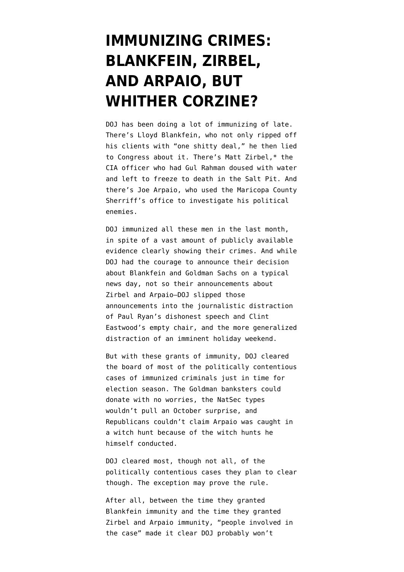## **[IMMUNIZING CRIMES:](https://www.emptywheel.net/2012/09/02/immunizing-crimes-blankstein-zirbel-and-arpaio-but-whither-corzine/) [BLANKFEIN, ZIRBEL,](https://www.emptywheel.net/2012/09/02/immunizing-crimes-blankstein-zirbel-and-arpaio-but-whither-corzine/) [AND ARPAIO, BUT](https://www.emptywheel.net/2012/09/02/immunizing-crimes-blankstein-zirbel-and-arpaio-but-whither-corzine/) [WHITHER CORZINE?](https://www.emptywheel.net/2012/09/02/immunizing-crimes-blankstein-zirbel-and-arpaio-but-whither-corzine/)**

DOJ has been doing a lot of immunizing of late. There's [Lloyd Blankfein,](http://www.emptywheel.net/2012/08/09/the-goldman-sachs-department-of-justice-would-like-to-apologize-to-mr-blankfein-for-the-inconvenience/) who not only ripped off his clients with "one shitty deal," he then lied to Congress about it. There's [Matt Zirbel,](http://www.emptywheel.net/2012/08/30/after-making-bank-fraud-legal-eric-holders-doj-makes-torture-legal/)\* the CIA officer who had Gul Rahman doused with water and left to freeze to death in the Salt Pit. And there's [Joe Arpaio,](http://tpmmuckraker.talkingpointsmemo.com/2012/08/joe_arpaio_criminal_case_dropped.php) who used the Maricopa County Sherriff's office to investigate his political enemies.

DOJ immunized all these men in the last month, in spite of a vast amount of publicly available evidence clearly showing their crimes. And while DOJ had [the courage to announce](http://www.emptywheel.net/2012/08/09/the-goldman-sachs-department-of-justice-would-like-to-apologize-to-mr-blankfein-for-the-inconvenience/) their decision about Blankfein and Goldman Sachs on a typical news day, not so their announcements about Zirbel and Arpaio–DOJ slipped those announcements into the journalistic distraction of Paul Ryan's dishonest speech and Clint Eastwood's empty chair, and the more generalized distraction of an imminent holiday weekend.

But with these grants of immunity, DOJ cleared the board of most of the politically contentious cases of immunized criminals just in time for election season. The Goldman banksters could donate with no worries, the NatSec types wouldn't pull an October surprise, and Republicans couldn't claim Arpaio was caught in a witch hunt because of the witch hunts he himself conducted.

DOJ cleared most, though not all, of the politically contentious cases they plan to clear though. The exception may prove the rule.

After all, between the time they granted Blankfein immunity and the time they granted Zirbel and Arpaio immunity, "people involved in the case" [made it clear](http://dealbook.nytimes.com/2012/08/15/no-criminal-case-is-likely-in-loss-at-mf-global/) DOJ probably won't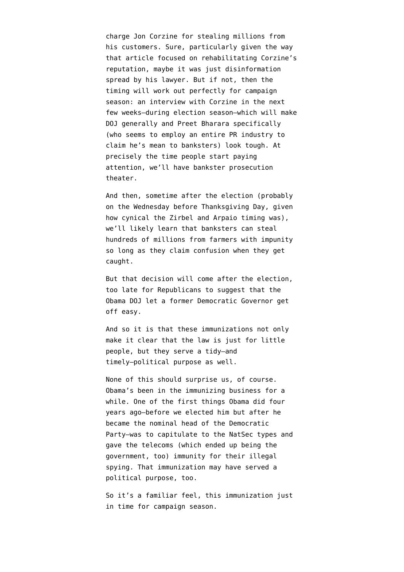charge Jon Corzine for stealing millions from his customers. Sure, particularly given the way [that article focused on rehabilitating Corzine's](http://www.emptywheel.net/2012/08/16/another-week-another-bankster-with-impunity/) [reputation,](http://www.emptywheel.net/2012/08/16/another-week-another-bankster-with-impunity/) maybe it was just disinformation spread by his lawyer. But if not, then the timing will work out perfectly for campaign season: an interview with Corzine in the next few weeks–during election season–which will make DOJ generally and Preet Bharara specifically (who seems to employ an entire PR industry to claim he's mean to banksters) look tough. At precisely the time people start paying attention, we'll have bankster prosecution theater.

And then, sometime after the election (probably on the Wednesday before Thanksgiving Day, given how cynical the Zirbel and Arpaio timing was), we'll likely learn that banksters can steal hundreds of millions from farmers with impunity so long as they claim confusion when they get caught.

But that decision will come after the election, too late for Republicans to suggest that the Obama DOJ let a former Democratic Governor get off easy.

And so it is that these immunizations not only make it clear that the law is just for little people, but they serve a tidy–and timely–political purpose as well.

None of this should surprise us, of course. Obama's been in the immunizing business for a while. One of the first things Obama did four years ago–before we elected him but after he became the nominal head of the Democratic Party–was to capitulate to the NatSec types and gave the telecoms (which ended up being the government, too) immunity for their illegal spying. That immunization [may have served a](http://www.emptywheel.net/2009/07/11/did-obama-flip-flop-on-fisa-to-protect-john-brennan/) [political purpose,](http://www.emptywheel.net/2009/07/11/did-obama-flip-flop-on-fisa-to-protect-john-brennan/) too.

So it's a familiar feel, this immunization just in time for campaign season.